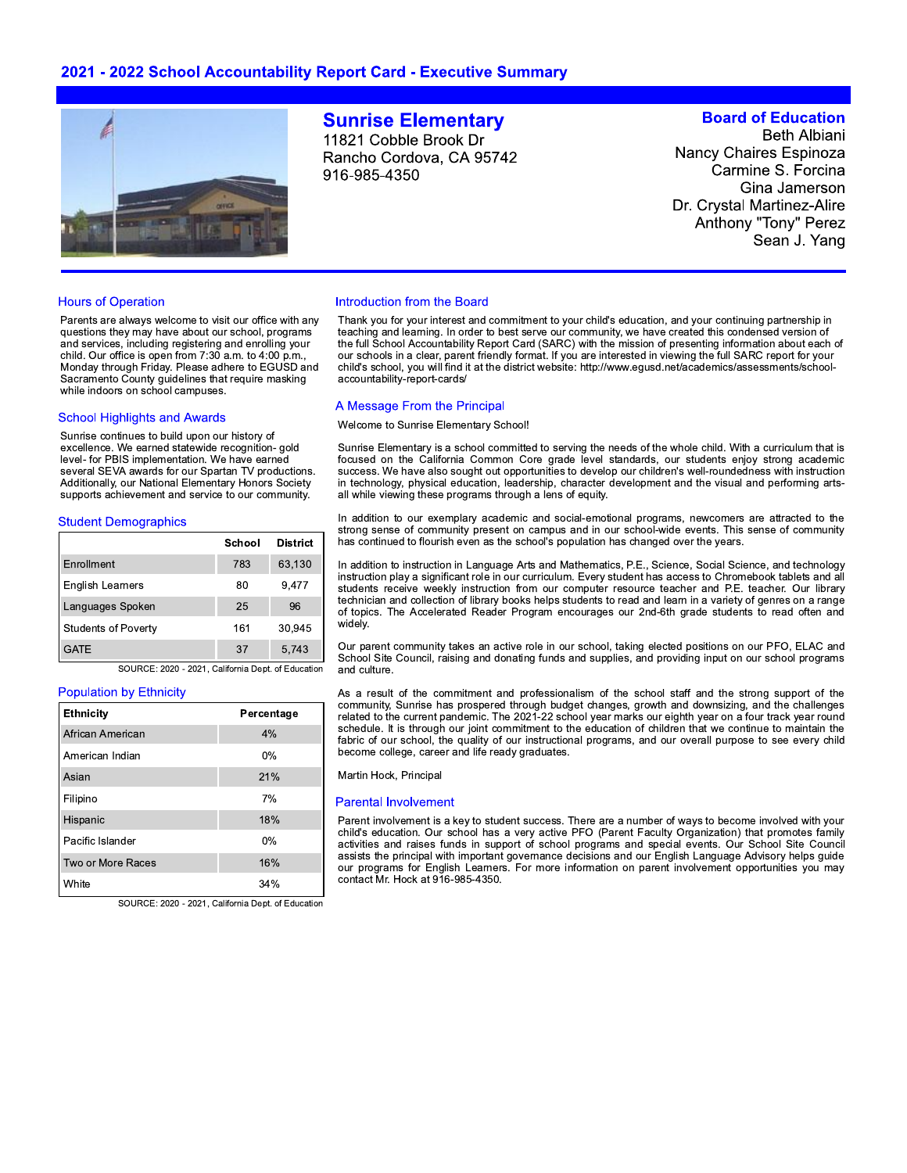# 2021 - 2022 School Accountability Report Card - Executive Summary



#### **Hours of Operation**

Parents are always welcome to visit our office with any questions they may have about our school, programs and services, including registering and enrolling your child. Our office is open from 7:30 a.m. to 4:00 p.m., Monday through Friday. Please adhere to EGUSD and Sacramento County guidelines that require masking while indoors on school campuses.

#### **School Highlights and Awards**

Sunrise continues to build upon our history of excellence. We earned statewide recognition- gold level- for PBIS implementation. We have earned several SEVA awards for our Spartan TV productions. Additionally, our National Elementary Honors Society supports achievement and service to our community.

#### **Student Demographics**

|                            | School | <b>District</b> |
|----------------------------|--------|-----------------|
| Enrollment                 | 783    | 63,130          |
| <b>English Learners</b>    | 80     | 9,477           |
| Languages Spoken           | 25     | 96              |
| <b>Students of Poverty</b> | 161    | 30,945          |
| <b>GATE</b>                | 37     | 5.743           |

SOURCE: 2020 - 2021, California Dept. of Education

### **Population by Ethnicity**

| <b>Ethnicity</b>  | Percentage |
|-------------------|------------|
| African American  | 4%         |
| American Indian   | $0\%$      |
| Asian             | 21%        |
| Filipino          | 7%         |
| Hispanic          | 18%        |
| Pacific Islander  | 0%         |
| Two or More Races | 16%        |
| White             | 34%        |

SOURCE: 2020 - 2021, California Dept. of Education

# **Sunrise Elementary**

11821 Cobble Brook Dr Rancho Cordova, CA 95742 916-985-4350

# **Board of Education**

**Beth Albiani Nancy Chaires Espinoza** Carmine S. Forcina Gina Jamerson Dr. Crystal Martinez-Alire Anthony "Tony" Perez Sean J. Yang

#### Introduction from the Board

Thank you for your interest and commitment to your child's education, and your continuing partnership in teaching and learning. In order to best serve our community, we have created this condensed version of the full School Accountability Report Card (SARC) with the mission of presenting information about each of our schools in a clear, parent friendly format. If you are interested in viewing the full SARC report for your child's school, you will find it at the district website: http://www.egusd.net/academics/assessments/schoolaccountability-report-cards/

#### A Message From the Principal

Welcome to Sunrise Elementary School!

Sunrise Elementary is a school committed to serving the needs of the whole child. With a curriculum that is focused on the California Common Core grade level standards, our students enjoy strong academic success. We have also sought out opportunities to develop our children's well-roundedness with instruction in technology, physical education, leadership, character development and the visual and performing artsall while viewing these programs through a lens of equity.

In addition to our exemplary academic and social-emotional programs, newcomers are attracted to the strong sense of community present on campus and in our school-wide events. This sense of community has continued to flourish even as the school's population has changed over the years.

In addition to instruction in Language Arts and Mathematics, P.E., Science, Social Science, and technology instruction play a significant role in our curriculum. Every student has access to Chromebook tablets and all students receive weekly instruction from our computer resource teacher and P.E. teacher. Our library technician and collection of library books helps students to read and learn in a variety of genres on a range of topics. The Accelerated Reader Program encourages our 2nd-6th grade students to read often and widely.

Our parent community takes an active role in our school, taking elected positions on our PFO, ELAC and School Site Council, raising and donating funds and supplies, and providing input on our school programs and culture

As a result of the commitment and professionalism of the school staff and the strong support of the community, Sunrise has prospered through budget changes, growth and downsizing, and the challenges<br>related to the current pandemic. The 2021-22 school year marks our eighth year on a four track year round schedule. It is through our joint commitment to the education of children that we continue to maintain the fabric of our school, the quality of our instructional programs, and our overall purpose to see every child become college, career and life ready graduates.

Martin Hock, Principal

#### **Parental Involvement**

Parent involvement is a key to student success. There are a number of ways to become involved with your child's education. Our school has a very active PFO (Parent Faculty Organization) that promotes family activities and raises funds in support of school programs and special events. Our School Site Council assists the principal with important governance decisions and our English Language Advisory helps guide our programs for English Learners. For more information on parent involvement opportunities you may contact Mr. Hock at 916-985-4350.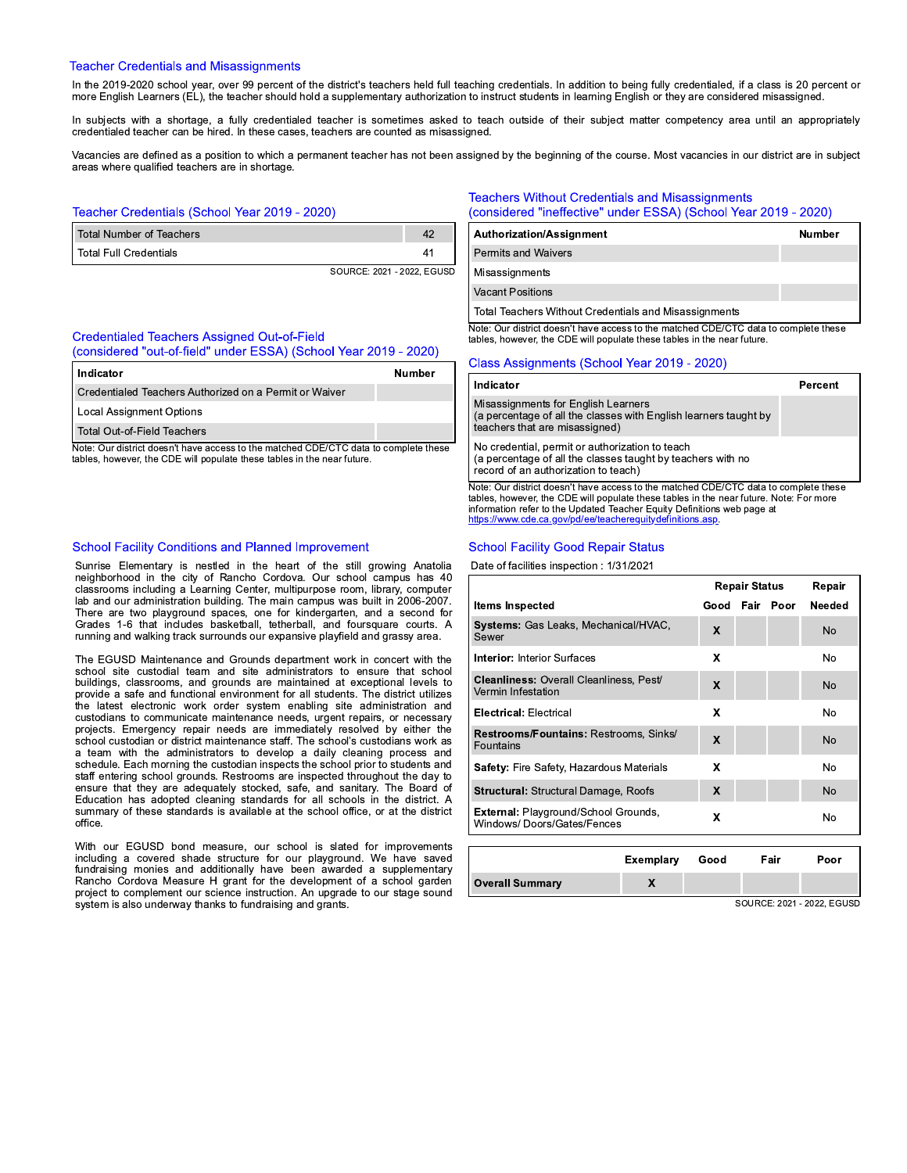#### **Teacher Credentials and Misassignments**

In the 2019-2020 school year, over 99 percent of the district's teachers held full teaching credentials. In addition to being fully credentialed, if a class is 20 percent or more English Learners (EL), the teacher should hold a supplementary authorization to instruct students in learning English or they are considered misassigned.

In subjects with a shortage, a fully credentialed teacher is sometimes asked to teach outside of their subject matter competency area until an appropriately credentialed teacher can be hired. In these cases, teachers are counted as misassigned.

Vacancies are defined as a position to which a permanent teacher has not been assigned by the beginning of the course. Most vacancies in our district are in subject areas where qualified teachers are in shortage.

# Teacher Credentials (School Year 2019 - 2020)

| Total Number of Teachers |  |
|--------------------------|--|
| l Total Full Credentials |  |
|                          |  |

SOURCE: 2021 - 2022, EGUSD

# **Credentialed Teachers Assigned Out-of-Field**

(considered "out-of-field" under ESSA) (School Year 2019 - 2020)

| Indicator                                                                            | Number |
|--------------------------------------------------------------------------------------|--------|
| l Credentialed Teachers Authorized on a Permit or Waiver                             |        |
| Local Assignment Options                                                             |        |
| l Total Out-of-Field Teachers                                                        |        |
| Note: Our district doesn't have access to the matched CDE/CTC data to complete these |        |

tables, however, the CDE will populate these tables in the near future.

#### **School Facility Conditions and Planned Improvement**

Sunrise Elementary is nestled in the heart of the still growing Anatolia neighborhood in the city of Rancho Cordova. Our school campus has 40 classrooms including a Learning Center, multipurpose room, library, computer lab and our administration building. The main campus was built in 2006-2007. There are two playground spaces, one for kindergarten, and a second for Grades 1-6 that includes basketball, tetherball, and foursquare courts. A running and walking track surrounds our expansive playfield and grassy area.

The EGUSD Maintenance and Grounds department work in concert with the school site custodial team and site administrators to ensure that school buildings, classrooms, and grounds are maintained at exceptional levels to provide a safe and functional environment for all students. The district utilizes the latest electronic work order system enabling site administration and custodians to communicate maintenance needs, urgent repairs, or necessary projects. Emergency repair needs are immediately resolved by either the school custodian or district maintenance staff. The school's custodians work as a team with the administrators to develop a daily cleaning process and schedule. Each morning the custodian inspects the school prior to students and staff entering school grounds. Restrooms are inspected throughout the day to ensure that they are adequately stocked, safe, and sanitary. The Board of Education has adopted cleaning standards for all schools in the district. A summary of these standards is available at the school office, or at the district office.

With our EGUSD bond measure, our school is slated for improvements including a covered shade structure for our playground. We have saved fundraising monies and additionally have been awarded a supplementary Rancho Cordova Measure H grant for the development of a school garden project to complement our science instruction. An upgrade to our stage sound system is also underway thanks to fundraising and grants.

#### **Teachers Without Credentials and Misassignments** (considered "ineffective" under ESSA) (School Year 2019 - 2020)

| Authorization/Assignment                                                             | <b>Number</b> |
|--------------------------------------------------------------------------------------|---------------|
| <b>Permits and Waivers</b>                                                           |               |
| <b>Misassignments</b>                                                                |               |
| <b>Vacant Positions</b>                                                              |               |
| Total Teachers Without Credentials and Misassignments                                |               |
| Note: Our district doesn't have access to the matched CDE/CTC data to complete these |               |

tables, however, the CDE will populate these tables in the near future.

#### Class Assignments (School Year 2019 - 2020)

| Indicator                                                                                                                                              | Percent |
|--------------------------------------------------------------------------------------------------------------------------------------------------------|---------|
| Misassignments for English Learners<br>(a percentage of all the classes with English learners taught by<br>teachers that are misassigned)              |         |
| No credential, permit or authorization to teach<br>(a percentage of all the classes taught by teachers with no<br>record of an authorization to teach) |         |
| Note: Our district doesn't have access to the matched CDE/CTC data to complete these                                                                   |         |

tables, however, the CDE will populate these tables in the near future. Note: For more information refer to the Updated Teacher Equity Definitions web page at https://www.cde.ca.gov/pd/ee/teachereguitydefinitions.asp

#### **School Facility Good Repair Status**

Date of facilities inspection : 1/31/2021

|                                                                           | <b>Repair Status</b> |  | Repair    |                |
|---------------------------------------------------------------------------|----------------------|--|-----------|----------------|
| <b>Items Inspected</b>                                                    | Good                 |  | Fair Poor | Needed         |
| <b>Systems: Gas Leaks, Mechanical/HVAC,</b><br>Sewer                      | X                    |  |           | N <sub>o</sub> |
| <b>Interior: Interior Surfaces</b>                                        | X                    |  |           | No.            |
| <b>Cleanliness: Overall Cleanliness, Pest/</b><br>Vermin Infestation      | X                    |  |           | No             |
| <b>Electrical: Electrical</b>                                             | X                    |  |           | No             |
| Restrooms/Fountains: Restrooms, Sinks/<br>Fountains                       | X                    |  |           | No             |
| <b>Safety:</b> Fire Safety, Hazardous Materials                           | x                    |  |           | No             |
| <b>Structural: Structural Damage, Roofs</b>                               | X                    |  |           | No.            |
| <b>External: Playground/School Grounds,</b><br>Windows/Doors/Gates/Fences | x                    |  |           | No             |
|                                                                           |                      |  |           |                |

|                        | Exemplary Good | Fair | Poor |
|------------------------|----------------|------|------|
| <b>Overall Summary</b> |                |      |      |

SOURCE: 2021 - 2022, EGUSD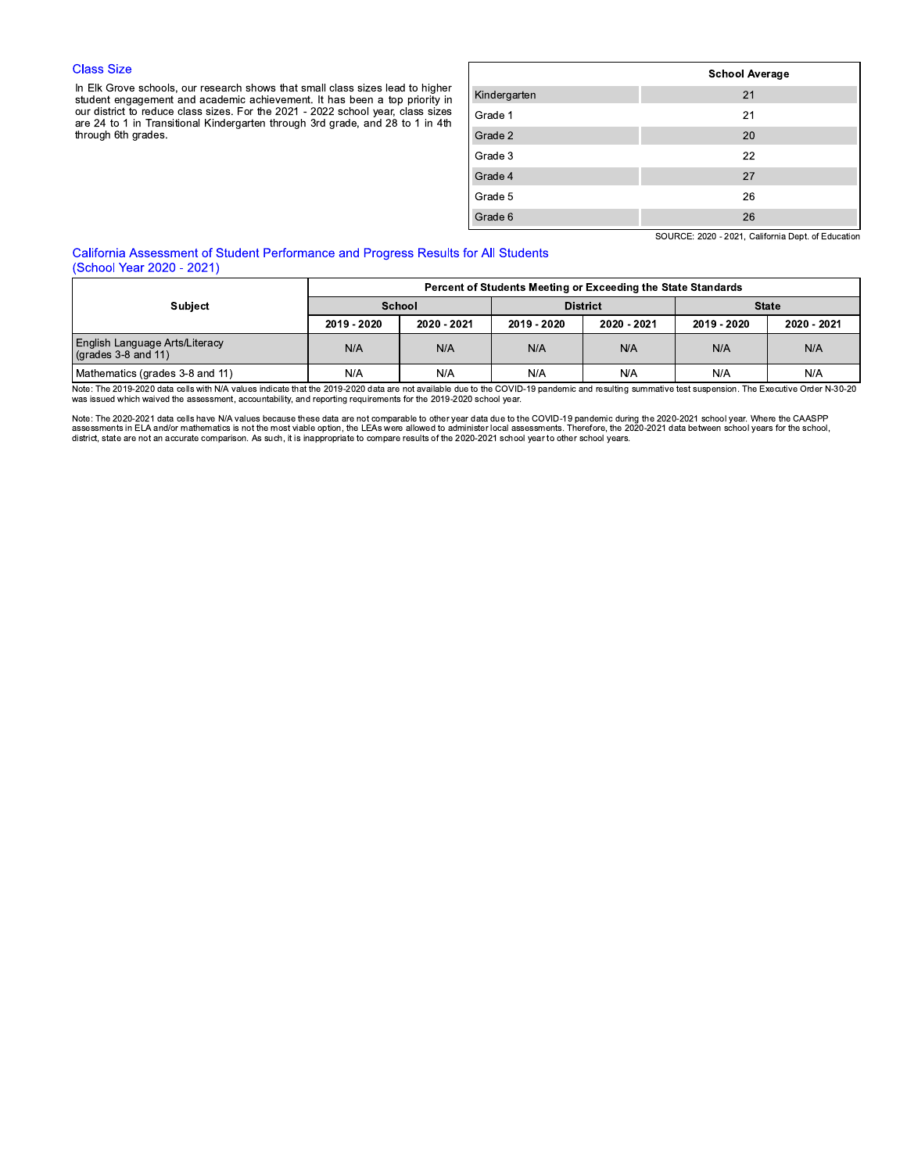## **Class Size**

In Elk Grove schools, our research shows that small class sizes lead to higher student engagement and academic achievement. It has been a top priority in our district to reduce class sizes. For the 2021 - 2022 school year, through 6th grades.

|              | <b>School Average</b> |
|--------------|-----------------------|
| Kindergarten | 21                    |
| Grade 1      | 21                    |
| Grade 2      | 20                    |
| Grade 3      | 22                    |
| Grade 4      | 27                    |
| Grade 5      | 26                    |
| Grade 6      | 26                    |

SOURCE: 2020 - 2021, California Dept. of Education

# California Assessment of Student Performance and Progress Results for All Students (School Year 2020 - 2021)

|                                                                       | Percent of Students Meeting or Exceeding the State Standards |             |                 |             |              |             |
|-----------------------------------------------------------------------|--------------------------------------------------------------|-------------|-----------------|-------------|--------------|-------------|
| <b>Subject</b>                                                        | School                                                       |             | <b>District</b> |             | <b>State</b> |             |
|                                                                       | 2019 - 2020                                                  | 2020 - 2021 | 2019 - 2020     | 2020 - 2021 | 2019 - 2020  | 2020 - 2021 |
| <b>English Language Arts/Literacy</b><br>$\sqrt{(grades 3-8 and 11)}$ | N/A                                                          | N/A         | N/A             | N/A         | N/A          | N/A         |
| Mathematics (grades 3-8 and 11)                                       | N/A                                                          | N/A         | N/A             | N/A         | N/A          | N/A         |

Note: The 2019-2020 data cells with N/A values indicate that the 2019-2020 data are not available due to the COVID-19 pandemic and resulting summative test suspension. The Executive Order N-30-20<br>was issued which waived th

Note: The 2020-2021 data cells have N/A values because these data are not comparable to other year data due to the COVID-19 pandemic during the 2020-2021 school year. Where the CAASPP assessments in ELA and/or mathematics